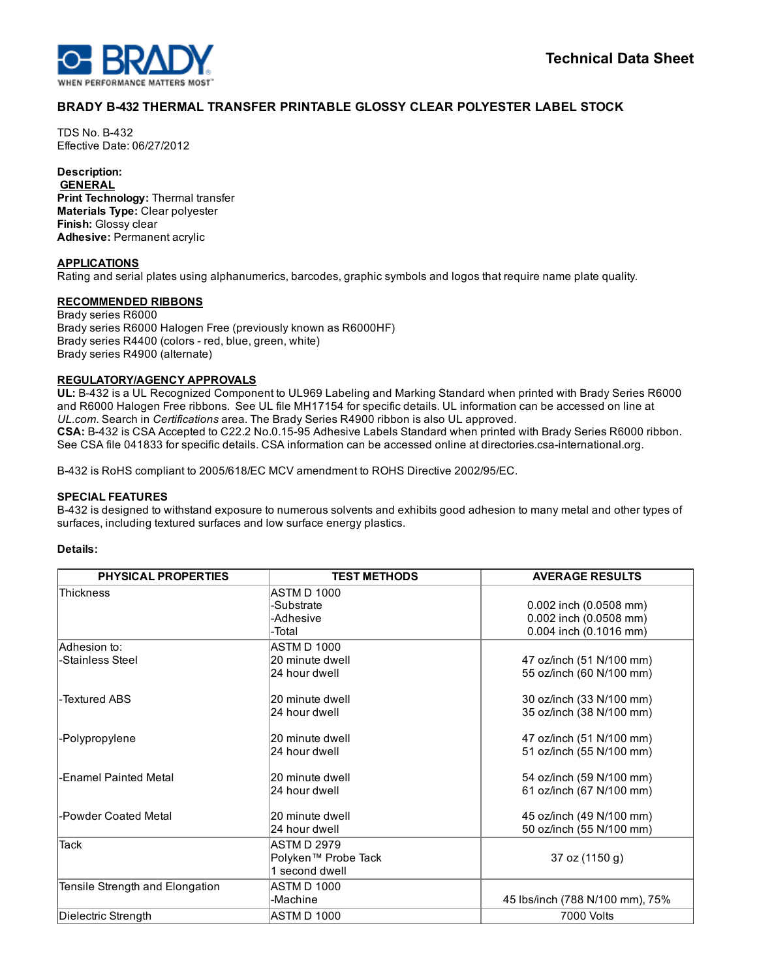

# BRADY B432 THERMAL TRANSFER PRINTABLE GLOSSY CLEAR POLYESTER LABEL STOCK

**TDS No. B-432** Effective Date: 06/27/2012

# Description:

**GENERAL** Print Technology: Thermal transfer Materials Type: Clear polyester Finish: Glossy clear Adhesive: Permanent acrylic

#### APPLICATIONS

Rating and serial plates using alphanumerics, barcodes, graphic symbols and logos that require name plate quality.

## RECOMMENDED RIBBONS

Brady series R6000 Brady series R6000 Halogen Free (previously known as R6000HF) Brady series R4400 (colors - red, blue, green, white) Brady series R4900 (alternate)

#### REGULATORY/AGENCY APPROVALS

UL: B432 is a UL Recognized Component to UL969 Labeling and Marking Standard when printed with Brady Series R6000 and R6000 Halogen Free ribbons. See UL file MH17154 for specific details. UL information can be accessed on line at *UL.com*. Search in *Certifications* area. The Brady Series R4900 ribbon is also UL approved. CSA: B-432 is CSA Accepted to C22.2 No.0.15-95 Adhesive Labels Standard when printed with Brady Series R6000 ribbon. See CSA file 041833 for specific details. CSA information can be accessed online at directories.csa-international.org.

B432 is RoHS compliant to 2005/618/EC MCV amendment to ROHS Directive 2002/95/EC.

#### SPECIAL FEATURES

B-432 is designed to withstand exposure to numerous solvents and exhibits good adhesion to many metal and other types of surfaces, including textured surfaces and low surface energy plastics.

#### Details:

| <b>PHYSICAL PROPERTIES</b>      | <b>TEST METHODS</b> | <b>AVERAGE RESULTS</b>          |
|---------------------------------|---------------------|---------------------------------|
| <b>Thickness</b>                | ASTM D 1000         |                                 |
|                                 | -Substrate          | 0.002 inch (0.0508 mm)          |
|                                 | -Adhesive           | 0.002 inch (0.0508 mm)          |
|                                 | -Total              | 0.004 inch (0.1016 mm)          |
| Adhesion to:                    | ASTM D 1000         |                                 |
| -Stainless Steel                | 20 minute dwell     | 47 oz/inch (51 N/100 mm)        |
|                                 | 24 hour dwell       | 55 oz/inch (60 N/100 mm)        |
| -Textured ABS                   | 20 minute dwell     | 30 oz/inch (33 N/100 mm)        |
|                                 | 24 hour dwell       | 35 oz/inch (38 N/100 mm)        |
| -Polypropylene                  | 20 minute dwell     | 47 oz/inch (51 N/100 mm)        |
|                                 | 24 hour dwell       | 51 oz/inch (55 N/100 mm)        |
| -Enamel Painted Metal           | 20 minute dwell     | 54 oz/inch (59 N/100 mm)        |
|                                 | 24 hour dwell       | 61 oz/inch (67 N/100 mm)        |
| -Powder Coated Metal            | 20 minute dwell     | 45 oz/inch (49 N/100 mm)        |
|                                 | 24 hour dwell       | 50 oz/inch (55 N/100 mm)        |
| <b>Tack</b>                     | <b>ASTM D 2979</b>  |                                 |
|                                 | Polyken™ Probe Tack | 37 oz (1150 g)                  |
|                                 | 1 second dwell      |                                 |
| Tensile Strength and Elongation | ASTM D 1000         |                                 |
|                                 | -Machine            | 45 Ibs/inch (788 N/100 mm), 75% |
| Dielectric Strength             | ASTM D 1000         | 7000 Volts                      |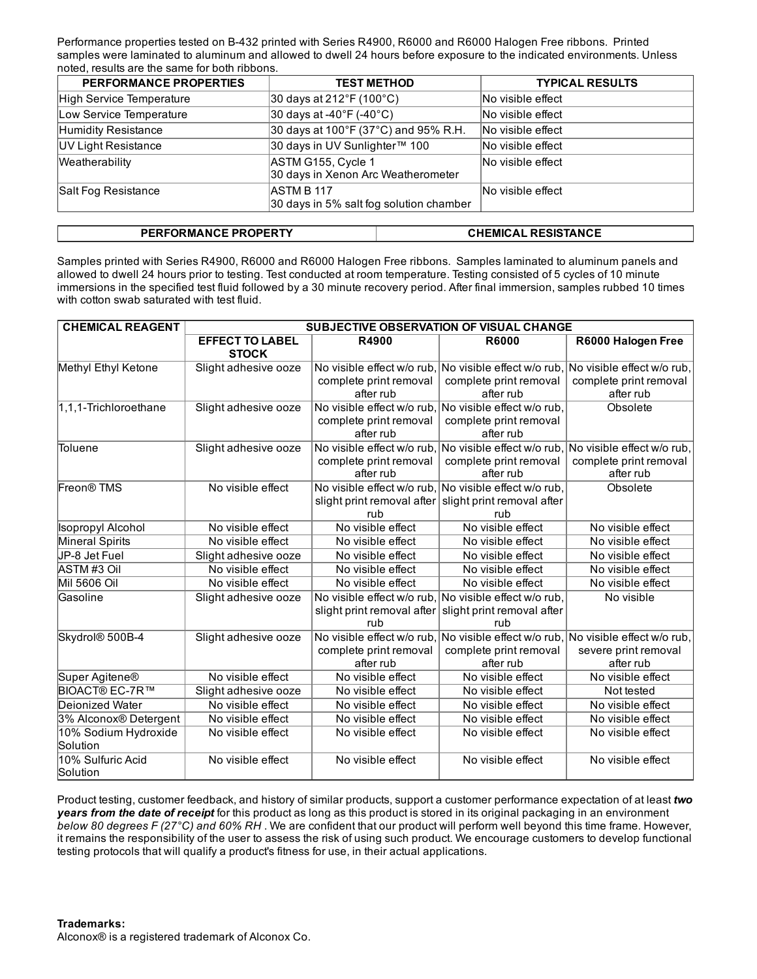Performance properties tested on B432 printed with Series R4900, R6000 and R6000 Halogen Free ribbons. Printed samples were laminated to aluminum and allowed to dwell 24 hours before exposure to the indicated environments. Unless noted, results are the same for both ribbons.

| <b>PERFORMANCE PROPERTIES</b> | <b>TEST METHOD</b>                                           | <b>TYPICAL RESULTS</b> |
|-------------------------------|--------------------------------------------------------------|------------------------|
| High Service Temperature      | $ 30 \text{ days}$ at 212°F (100°C)                          | No visible effect      |
| Low Service Temperature       | $ 30 \text{ days}$ at -40°F (-40°C)                          | No visible effect      |
| Humidity Resistance           | 30 days at 100°F (37°C) and 95% R.H.                         | No visible effect      |
| UV Light Resistance           | 30 days in UV Sunlighter™ 100                                | No visible effect      |
| Weatherability                | ASTM G155, Cycle 1<br>30 days in Xenon Arc Weatherometer     | No visible effect      |
| Salt Fog Resistance           | <b>ASTM B 117</b><br>30 days in 5% salt fog solution chamber | INo visible effect     |

|  | <b>PERFORMANCE PROPERTY</b> | <b>CHEMICAL RESISTANCE</b> |
|--|-----------------------------|----------------------------|
|--|-----------------------------|----------------------------|

Samples printed with Series R4900, R6000 and R6000 Halogen Free ribbons. Samples laminated to aluminum panels and allowed to dwell 24 hours prior to testing. Test conducted at room temperature. Testing consisted of 5 cycles of 10 minute immersions in the specified test fluid followed by a 30 minute recovery period. After final immersion, samples rubbed 10 times with cotton swab saturated with test fluid.

| <b>CHEMICAL REAGENT</b>    | SUBJECTIVE OBSERVATION OF VISUAL CHANGE |                                                       |                                                       |                                                                                  |  |
|----------------------------|-----------------------------------------|-------------------------------------------------------|-------------------------------------------------------|----------------------------------------------------------------------------------|--|
|                            | <b>EFFECT TO LABEL</b><br><b>STOCK</b>  | R4900                                                 | <b>R6000</b>                                          | R6000 Halogen Free                                                               |  |
| Methyl Ethyl Ketone        | Slight adhesive ooze                    |                                                       |                                                       | No visible effect w/o rub, No visible effect w/o rub, No visible effect w/o rub, |  |
|                            |                                         | complete print removal                                | complete print removal                                | complete print removal                                                           |  |
|                            |                                         | after rub                                             | after rub                                             | after rub                                                                        |  |
| 1,1,1-Trichloroethane      | Slight adhesive ooze                    |                                                       | No visible effect w/o rub. No visible effect w/o rub. | Obsolete                                                                         |  |
|                            |                                         | complete print removal                                | complete print removal                                |                                                                                  |  |
|                            |                                         | after rub                                             | after rub                                             |                                                                                  |  |
| Toluene                    | Slight adhesive ooze                    |                                                       | No visible effect w/o rub, No visible effect w/o rub, | No visible effect w/o rub,                                                       |  |
|                            |                                         | complete print removal                                | complete print removal                                | complete print removal                                                           |  |
|                            |                                         | after rub                                             | after rub                                             | after rub                                                                        |  |
| Freon <sup>®</sup> TMS     | No visible effect                       |                                                       | No visible effect w/o rub. No visible effect w/o rub. | Obsolete                                                                         |  |
|                            |                                         |                                                       | slight print removal after slight print removal after |                                                                                  |  |
|                            |                                         | rub                                                   | rub                                                   |                                                                                  |  |
| <b>Isopropyl Alcohol</b>   | No visible effect                       | No visible effect                                     | No visible effect                                     | No visible effect                                                                |  |
| Mineral Spirits            | No visible effect                       | No visible effect                                     | No visible effect                                     | No visible effect                                                                |  |
| UP-8 Jet Fuel              | Slight adhesive ooze                    | No visible effect                                     | No visible effect                                     | No visible effect                                                                |  |
| ASTM#3 Oil                 | No visible effect                       | No visible effect                                     | No visible effect                                     | No visible effect                                                                |  |
| Mil 5606 Oil               | No visible effect                       | No visible effect                                     | No visible effect                                     | No visible effect                                                                |  |
| Gasoline                   | Slight adhesive ooze                    | No visible effect w/o rub.                            | No visible effect w/o rub,                            | No visible                                                                       |  |
|                            |                                         | slight print removal after                            | slight print removal after                            |                                                                                  |  |
|                            |                                         | rub                                                   | rub                                                   |                                                                                  |  |
| Skydrol® 500B-4            | Slight adhesive ooze                    | No visible effect w/o rub, No visible effect w/o rub. |                                                       | No visible effect w/o rub,                                                       |  |
|                            |                                         | complete print removal                                | complete print removal                                | severe print removal                                                             |  |
|                            |                                         | after rub                                             | after rub                                             | after rub                                                                        |  |
| Super Agitene <sup>®</sup> | No visible effect                       | No visible effect                                     | No visible effect                                     | No visible effect                                                                |  |
| <b>BIOACT® EC-7R™</b>      | Slight adhesive ooze                    | No visible effect                                     | No visible effect                                     | Not tested                                                                       |  |
| Deionized Water            | No visible effect                       | No visible effect                                     | No visible effect                                     | No visible effect                                                                |  |
| 3% Alconox® Detergent      | No visible effect                       | No visible effect                                     | No visible effect                                     | No visible effect                                                                |  |
| 10% Sodium Hydroxide       | No visible effect                       | No visible effect                                     | No visible effect                                     | No visible effect                                                                |  |
| Solution                   |                                         |                                                       |                                                       |                                                                                  |  |
| 10% Sulfuric Acid          | No visible effect                       | No visible effect                                     | No visible effect                                     | No visible effect                                                                |  |
| Solution                   |                                         |                                                       |                                                       |                                                                                  |  |

Product testing, customer feedback, and history of similar products, support a customer performance expectation of at least *two years from the date of receipt* for this product as long as this product is stored in its original packaging in an environment *below 80 degrees F (27°C) and 60% RH* . We are confident that our product will perform well beyond this time frame. However, it remains the responsibility of the user to assess the risk of using such product. We encourage customers to develop functional testing protocols that will qualify a product's fitness for use, in their actual applications.